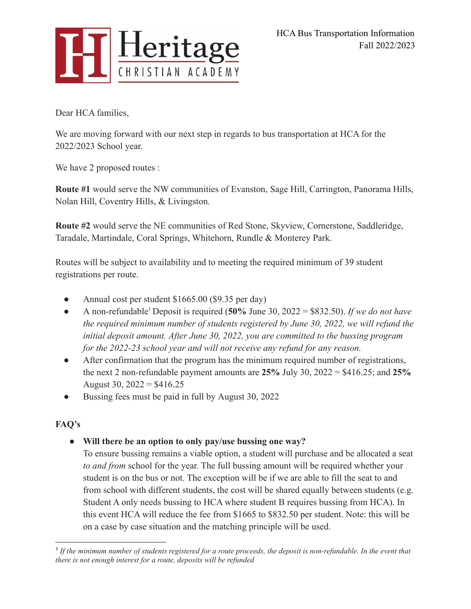

Dear HCA families,

We are moving forward with our next step in regards to bus transportation at HCA for the 2022/2023 School year.

We have 2 proposed routes :

**Route #1** would serve the NW communities of Evanston, Sage Hill, Carrington, Panorama Hills, Nolan Hill, Coventry Hills, & Livingston.

**Route #2** would serve the NE communities of Red Stone, Skyview, Cornerstone, Saddleridge, Taradale, Martindale, Coral Springs, Whitehorn, Rundle & Monterey Park.

Routes will be subject to availability and to meeting the required minimum of 39 student registrations per route.

- Annual cost per student \$1665.00 (\$9.35 per day)
- A non-refundable<sup>1</sup> Deposit is required (**50%** June 30, 2022 = \$832.50). *If we do not have the required minimum number of students registered by June 30, 2022, we will refund the initial deposit amount. After June 30, 2022, you are committed to the bussing program for the 2022-23 school year and will not receive any refund for any reason.*
- After confirmation that the program has the minimum required number of registrations, the next 2 non-refundable payment amounts are **25%** July 30, 2022 = \$416.25; and **25%** August 30,  $2022 = $416.25$
- Bussing fees must be paid in full by August 30, 2022

## **FAQ's**

**● Will there be an option to only pay/use bussing one way?**

To ensure bussing remains a viable option, a student will purchase and be allocated a seat *to and from* school for the year. The full bussing amount will be required whether your student is on the bus or not. The exception will be if we are able to fill the seat to and from school with different students, the cost will be shared equally between students (e.g. Student A only needs bussing to HCA where student B requires bussing from HCA). In this event HCA will reduce the fee from \$1665 to \$832.50 per student. Note: this will be on a case by case situation and the matching principle will be used.

*<sup>1</sup> If the minimum number of students registered for a route proceeds, the deposit is non-refundable. In the event that there is not enough interest for a route, deposits will be refunded*